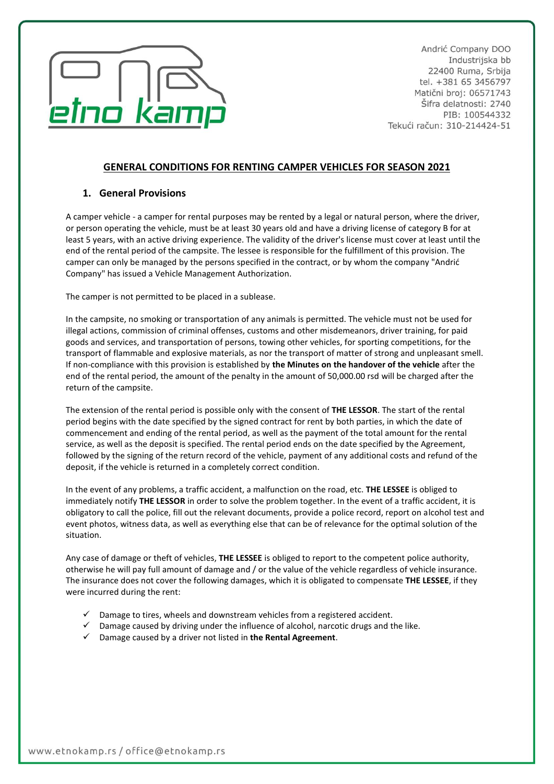

Andrić Company DOO Industrijska bb 22400 Ruma, Srbija tel. +381 65 3456797 Matični broj: 06571743 Šifra delatnosti: 2740 PIB: 100544332 Tekući račun: 310-214424-51

# **GENERAL CONDITIONS FOR RENTING CAMPER VEHICLES FOR SEASON 2021**

## **1. General Provisions**

A camper vehicle - a camper for rental purposes may be rented by a legal or natural person, where the driver, or person operating the vehicle, must be at least 30 years old and have a driving license of category B for at least 5 years, with an active driving experience. The validity of the driver's license must cover at least until the end of the rental period of the campsite. The lessee is responsible for the fulfillment of this provision. The camper can only be managed by the persons specified in the contract, or by whom the company "Andrić Company" has issued a Vehicle Management Authorization.

The camper is not permitted to be placed in a sublease.

In the campsite, no smoking or transportation of any animals is permitted. The vehicle must not be used for illegal actions, commission of criminal offenses, customs and other misdemeanors, driver training, for paid goods and services, and transportation of persons, towing other vehicles, for sporting competitions, for the transport of flammable and explosive materials, as nor the transport of matter of strong and unpleasant smell. If non-compliance with this provision is established by **the Minutes on the handover of the vehicle** after the end of the rental period, the amount of the penalty in the amount of 50,000.00 rsd will be charged after the return of the campsite.

The extension of the rental period is possible only with the consent of **THE LESSOR**. The start of the rental period begins with the date specified by the signed contract for rent by both parties, in which the date of commencement and ending of the rental period, as well as the payment of the total amount for the rental service, as well as the deposit is specified. The rental period ends on the date specified by the Agreement, followed by the signing of the return record of the vehicle, payment of any additional costs and refund of the deposit, if the vehicle is returned in a completely correct condition.

In the event of any problems, a traffic accident, a malfunction on the road, etc. **THE LESSEE** is obliged to immediately notify **THE LESSOR** in order to solve the problem together. In the event of a traffic accident, it is obligatory to call the police, fill out the relevant documents, provide a police record, report on alcohol test and event photos, witness data, as well as everything else that can be of relevance for the optimal solution of the situation.

Any case of damage or theft of vehicles, **THE LESSEE** is obliged to report to the competent police authority, otherwise he will pay full amount of damage and / or the value of the vehicle regardless of vehicle insurance. The insurance does not cover the following damages, which it is obligated to compensate **THE LESSEE**, if they were incurred during the rent:

- $\checkmark$  Damage to tires, wheels and downstream vehicles from a registered accident.
- $\checkmark$  Damage caused by driving under the influence of alcohol, narcotic drugs and the like.
- ✓ Damage caused by a driver not listed in **the Rental Agreement**.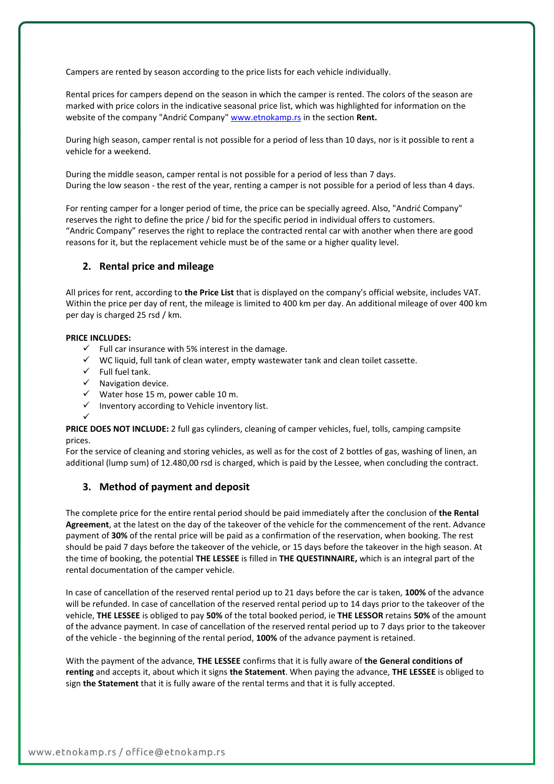Campers are rented by season according to the price lists for each vehicle individually.

Rental prices for campers depend on the season in which the camper is rented. The colors of the season are marked with price colors in the indicative seasonal price list, which was highlighted for information on the website of the company "Andrić Company" [www.etnokamp.rs](http://www.etnokamp.rs/) in the section **Rent.**

During high season, camper rental is not possible for a period of less than 10 days, nor is it possible to rent a vehicle for a weekend.

During the middle season, camper rental is not possible for a period of less than 7 days. During the low season - the rest of the year, renting a camper is not possible for a period of less than 4 days.

For renting camper for a longer period of time, the price can be specially agreed. Also, "Andrić Company" reserves the right to define the price / bid for the specific period in individual offers to customers. "Andric Company" reserves the right to replace the contracted rental car with another when there are good reasons for it, but the replacement vehicle must be of the same or a higher quality level.

### **2. Rental price and mileage**

All prices for rent, according to **the Price List** that is displayed on the company's official website, includes VAT. Within the price per day of rent, the mileage is limited to 400 km per day. An additional mileage of over 400 km per day is charged 25 rsd / km.

#### **PRICE INCLUDES:**

- $\checkmark$  Full car insurance with 5% interest in the damage.
- ✓ WC liquid, full tank of clean water, empty wastewater tank and clean toilet cassette.
- $\checkmark$  Full fuel tank.
- ✓ Navigation device.
- $\checkmark$  Water hose 15 m, power cable 10 m.
- ✓ Inventory according to Vehicle inventory list.

✓ **PRICE DOES NOT INCLUDE:** 2 full gas cylinders, cleaning of camper vehicles, fuel, tolls, camping campsite prices.

For the service of cleaning and storing vehicles, as well as for the cost of 2 bottles of gas, washing of linen, an additional (lump sum) of 12.480,00 rsd is charged, which is paid by the Lessee, when concluding the contract.

### **3. Method of payment and deposit**

The complete price for the entire rental period should be paid immediately after the conclusion of **the Rental Agreement**, at the latest on the day of the takeover of the vehicle for the commencement of the rent. Advance payment of **30%** of the rental price will be paid as a confirmation of the reservation, when booking. The rest should be paid 7 days before the takeover of the vehicle, or 15 days before the takeover in the high season. At the time of booking, the potential **THE LESSEE** is filled in **THE QUESTINNAIRE,** which is an integral part of the rental documentation of the camper vehicle.

In case of cancellation of the reserved rental period up to 21 days before the car is taken, **100%** of the advance will be refunded. In case of cancellation of the reserved rental period up to 14 days prior to the takeover of the vehicle, **THE LESSEE** is obliged to pay **50%** of the total booked period, ie **THE LESSOR** retains **50%** of the amount of the advance payment. In case of cancellation of the reserved rental period up to 7 days prior to the takeover of the vehicle - the beginning of the rental period, **100%** of the advance payment is retained.

With the payment of the advance, **THE LESSEE** confirms that it is fully aware of **the General conditions of renting** and accepts it, about which it signs **the Statement**. When paying the advance, **THE LESSEE** is obliged to sign **the Statement** that it is fully aware of the rental terms and that it is fully accepted.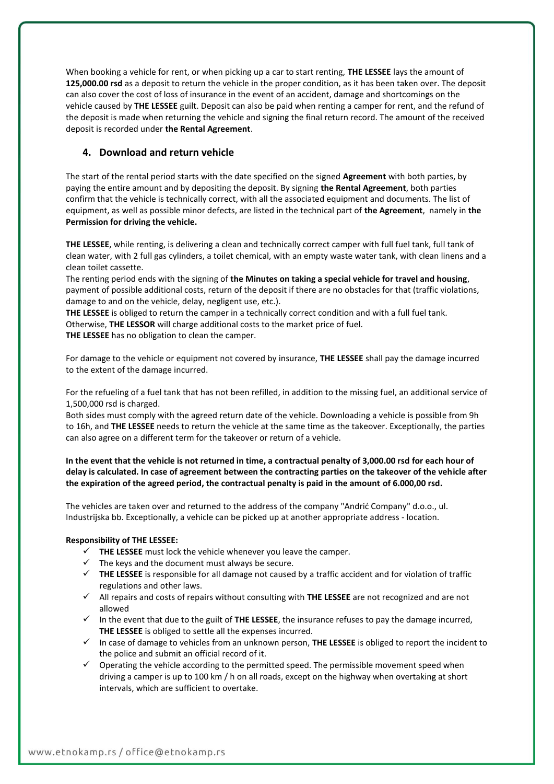When booking a vehicle for rent, or when picking up a car to start renting, **THE LESSEE** lays the amount of **125,000.00 rsd** as a deposit to return the vehicle in the proper condition, as it has been taken over. The deposit can also cover the cost of loss of insurance in the event of an accident, damage and shortcomings on the vehicle caused by **THE LESSEE** guilt. Deposit can also be paid when renting a camper for rent, and the refund of the deposit is made when returning the vehicle and signing the final return record. The amount of the received deposit is recorded under **the Rental Agreement**.

## **4. Download and return vehicle**

The start of the rental period starts with the date specified on the signed **Agreement** with both parties, by paying the entire amount and by depositing the deposit. By signing **the Rental Agreement**, both parties confirm that the vehicle is technically correct, with all the associated equipment and documents. The list of equipment, as well as possible minor defects, are listed in the technical part of **the Agreement**, namely in **the Permission for driving the vehicle.**

**THE LESSEE**, while renting, is delivering a clean and technically correct camper with full fuel tank, full tank of clean water, with 2 full gas cylinders, a toilet chemical, with an empty waste water tank, with clean linens and a clean toilet cassette.

The renting period ends with the signing of **the Minutes on taking a special vehicle for travel and housing**, payment of possible additional costs, return of the deposit if there are no obstacles for that (traffic violations, damage to and on the vehicle, delay, negligent use, etc.).

**THE LESSEE** is obliged to return the camper in a technically correct condition and with a full fuel tank. Otherwise, **THE LESSOR** will charge additional costs to the market price of fuel. **THE LESSEE** has no obligation to clean the camper.

For damage to the vehicle or equipment not covered by insurance, **THE LESSEE** shall pay the damage incurred to the extent of the damage incurred.

For the refueling of a fuel tank that has not been refilled, in addition to the missing fuel, an additional service of 1,500,000 rsd is charged.

Both sides must comply with the agreed return date of the vehicle. Downloading a vehicle is possible from 9h to 16h, and **THE LESSEE** needs to return the vehicle at the same time as the takeover. Exceptionally, the parties can also agree on a different term for the takeover or return of a vehicle.

**In the event that the vehicle is not returned in time, a contractual penalty of 3,000.00 rsd for each hour of delay is calculated. In case of agreement between the contracting parties on the takeover of the vehicle after the expiration of the agreed period, the contractual penalty is paid in the amount of 6.000,00 rsd.**

The vehicles are taken over and returned to the address of the company "Andrić Company" d.o.o., ul. Industrijska bb. Exceptionally, a vehicle can be picked up at another appropriate address - location.

#### **Responsibility of THE LESSEE:**

- ✓ **THE LESSEE** must lock the vehicle whenever you leave the camper.
- $\checkmark$  The keys and the document must always be secure.
- ✓ **THE LESSEE** is responsible for all damage not caused by a traffic accident and for violation of traffic regulations and other laws.
- ✓ All repairs and costs of repairs without consulting with **THE LESSEE** are not recognized and are not allowed
- ✓ In the event that due to the guilt of **THE LESSEE**, the insurance refuses to pay the damage incurred, **THE LESSEE** is obliged to settle all the expenses incurred.
- ✓ In case of damage to vehicles from an unknown person, **THE LESSEE** is obliged to report the incident to the police and submit an official record of it.
- $\checkmark$  Operating the vehicle according to the permitted speed. The permissible movement speed when driving a camper is up to 100 km / h on all roads, except on the highway when overtaking at short intervals, which are sufficient to overtake.